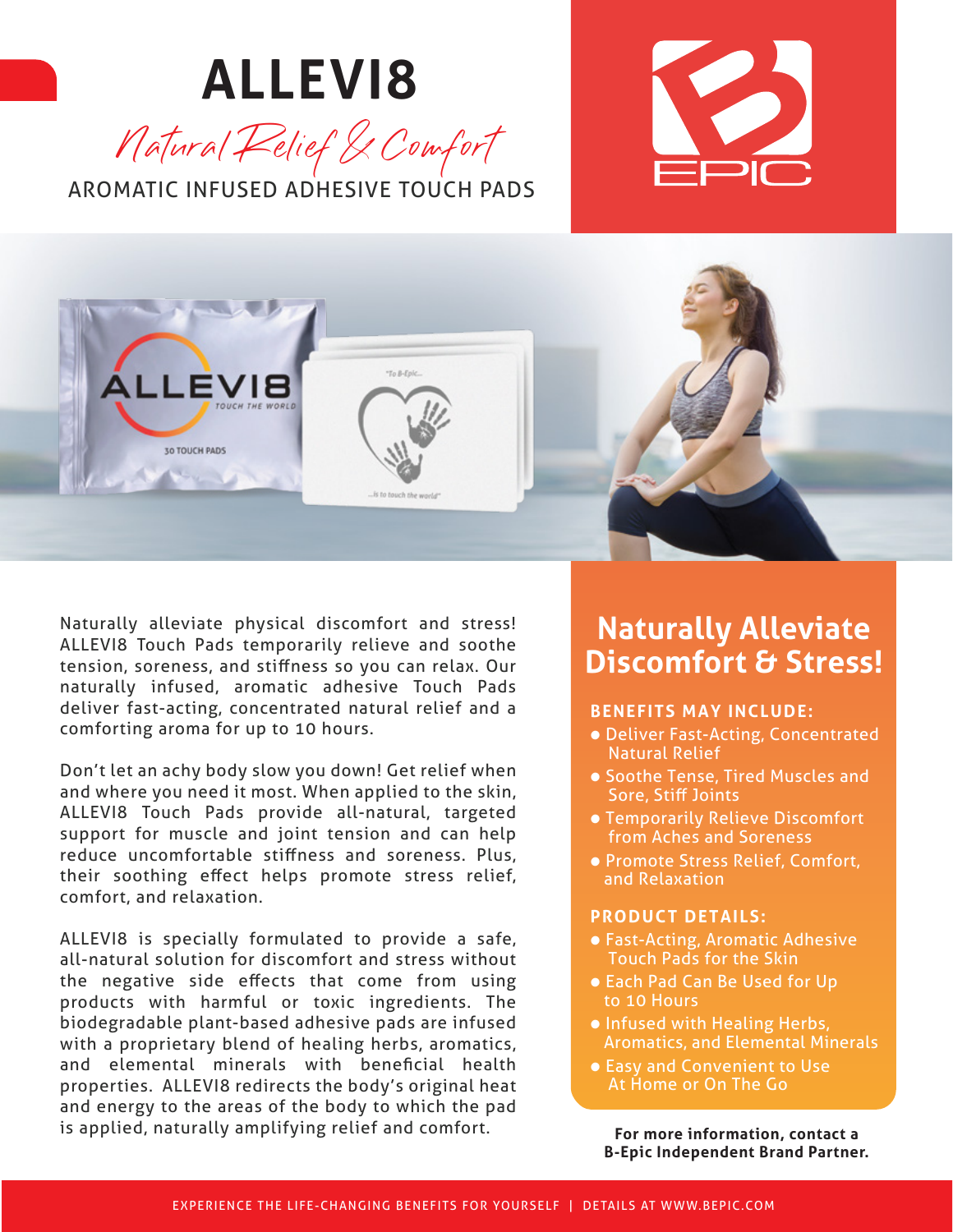### **ALLEVI8** Natural Relief & Comfort AROMATIC INFUSED ADHESIVE TOUCH PADS





Naturally alleviate physical discomfort and stress! ALLEVI8 Touch Pads temporarily relieve and soothe tension, soreness, and stiffness so you can relax. Our naturally infused, aromatic adhesive Touch Pads deliver fast-acting, concentrated natural relief and a comforting aroma for up to 10 hours.

Don't let an achy body slow you down! Get relief when and where you need it most. When applied to the skin, ALLEVI8 Touch Pads provide all-natural, targeted support for muscle and joint tension and can help reduce uncomfortable stiffness and soreness. Plus, their soothing effect helps promote stress relief, comfort, and relaxation.

ALLEVI8 is specially formulated to provide a safe, all-natural solution for discomfort and stress without the negative side effects that come from using products with harmful or toxic ingredients. The biodegradable plant-based adhesive pads are infused with a proprietary blend of healing herbs, aromatics, and elemental minerals with beneficial health properties. ALLEVI8 redirects the body's original heat and energy to the areas of the body to which the pad is applied, naturally amplifying relief and comfort.

### **Naturally Alleviate Discomfort & Stress!**

#### **BENEFITS MAY INCLUDE:**

- Deliver Fast-Acting, Concentrated Natural Relief
- Soothe Tense, Tired Muscles and Sore, Stiff Joints
- Temporarily Relieve Discomfort from Aches and Soreness
- Promote Stress Relief, Comfort, and Relaxation

#### **PRODUCT DETAILS:**

- Fast-Acting, Aromatic Adhesive Touch Pads for the Skin
- Each Pad Can Be Used for Up to 10 Hours
- Infused with Healing Herbs, Aromatics, and Elemental Minerals
- Easy and Convenient to Use At Home or On The Go

**For more information, contact a B-Epic Independent Brand Partner.**